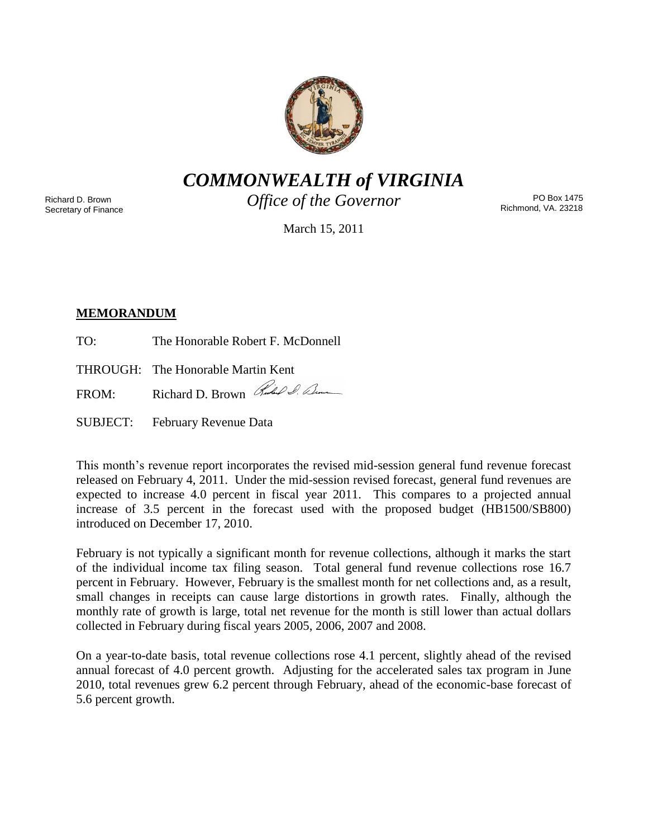

*COMMONWEALTH of VIRGINIA*

Richard D. Brown Secretary of Finance *Office of the Governor*

PO Box 1475 Richmond, VA. 23218

March 15, 2011

# **MEMORANDUM**

TO: The Honorable Robert F. McDonnell

THROUGH: The Honorable Martin Kent

FROM: Richard D. Brown Rules & Com

SUBJECT: February Revenue Data

This month's revenue report incorporates the revised mid-session general fund revenue forecast released on February 4, 2011. Under the mid-session revised forecast, general fund revenues are expected to increase 4.0 percent in fiscal year 2011. This compares to a projected annual increase of 3.5 percent in the forecast used with the proposed budget (HB1500/SB800) introduced on December 17, 2010.

February is not typically a significant month for revenue collections, although it marks the start of the individual income tax filing season. Total general fund revenue collections rose 16.7 percent in February. However, February is the smallest month for net collections and, as a result, small changes in receipts can cause large distortions in growth rates. Finally, although the monthly rate of growth is large, total net revenue for the month is still lower than actual dollars collected in February during fiscal years 2005, 2006, 2007 and 2008.

On a year-to-date basis, total revenue collections rose 4.1 percent, slightly ahead of the revised annual forecast of 4.0 percent growth. Adjusting for the accelerated sales tax program in June 2010, total revenues grew 6.2 percent through February, ahead of the economic-base forecast of 5.6 percent growth.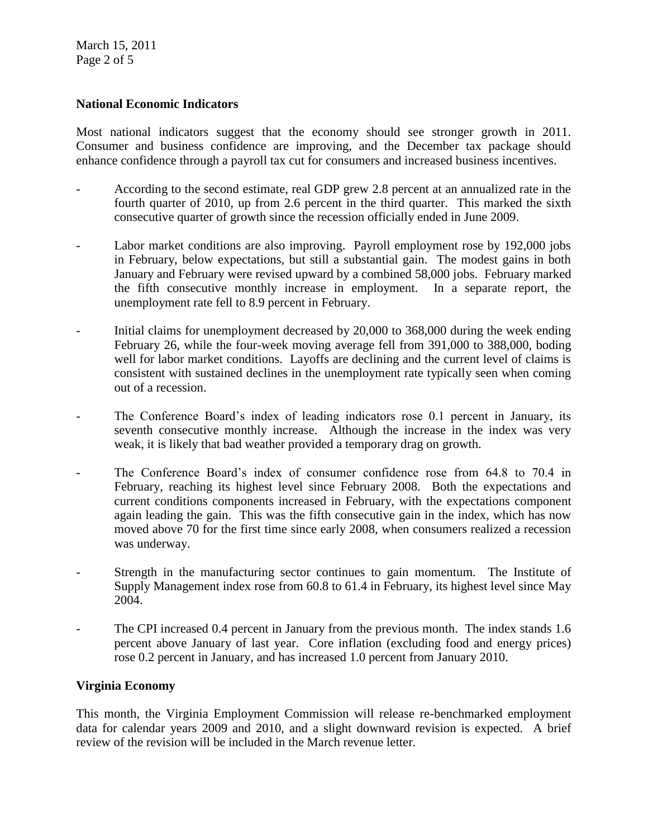March 15, 2011 Page 2 of 5

## **National Economic Indicators**

Most national indicators suggest that the economy should see stronger growth in 2011. Consumer and business confidence are improving, and the December tax package should enhance confidence through a payroll tax cut for consumers and increased business incentives.

- According to the second estimate, real GDP grew 2.8 percent at an annualized rate in the fourth quarter of 2010, up from 2.6 percent in the third quarter. This marked the sixth consecutive quarter of growth since the recession officially ended in June 2009.
- Labor market conditions are also improving. Payroll employment rose by 192,000 jobs in February, below expectations, but still a substantial gain. The modest gains in both January and February were revised upward by a combined 58,000 jobs. February marked the fifth consecutive monthly increase in employment. In a separate report, the unemployment rate fell to 8.9 percent in February.
- Initial claims for unemployment decreased by 20,000 to 368,000 during the week ending February 26, while the four-week moving average fell from 391,000 to 388,000, boding well for labor market conditions. Layoffs are declining and the current level of claims is consistent with sustained declines in the unemployment rate typically seen when coming out of a recession.
- The Conference Board's index of leading indicators rose 0.1 percent in January, its seventh consecutive monthly increase. Although the increase in the index was very weak, it is likely that bad weather provided a temporary drag on growth.
- The Conference Board's index of consumer confidence rose from 64.8 to 70.4 in February, reaching its highest level since February 2008. Both the expectations and current conditions components increased in February, with the expectations component again leading the gain. This was the fifth consecutive gain in the index, which has now moved above 70 for the first time since early 2008, when consumers realized a recession was underway.
- Strength in the manufacturing sector continues to gain momentum. The Institute of Supply Management index rose from 60.8 to 61.4 in February, its highest level since May 2004.
- The CPI increased 0.4 percent in January from the previous month. The index stands 1.6 percent above January of last year. Core inflation (excluding food and energy prices) rose 0.2 percent in January, and has increased 1.0 percent from January 2010.

## **Virginia Economy**

This month, the Virginia Employment Commission will release re-benchmarked employment data for calendar years 2009 and 2010, and a slight downward revision is expected. A brief review of the revision will be included in the March revenue letter.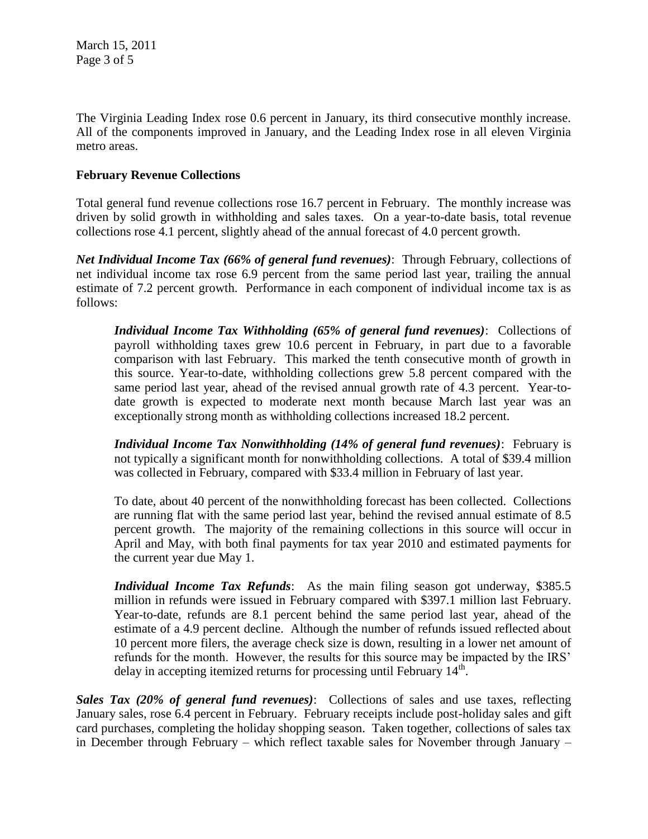The Virginia Leading Index rose 0.6 percent in January, its third consecutive monthly increase. All of the components improved in January, and the Leading Index rose in all eleven Virginia metro areas.

## **February Revenue Collections**

Total general fund revenue collections rose 16.7 percent in February. The monthly increase was driven by solid growth in withholding and sales taxes. On a year-to-date basis, total revenue collections rose 4.1 percent, slightly ahead of the annual forecast of 4.0 percent growth.

*Net Individual Income Tax (66% of general fund revenues)*: Through February, collections of net individual income tax rose 6.9 percent from the same period last year, trailing the annual estimate of 7.2 percent growth. Performance in each component of individual income tax is as follows:

*Individual Income Tax Withholding (65% of general fund revenues)*: Collections of payroll withholding taxes grew 10.6 percent in February, in part due to a favorable comparison with last February. This marked the tenth consecutive month of growth in this source. Year-to-date, withholding collections grew 5.8 percent compared with the same period last year, ahead of the revised annual growth rate of 4.3 percent. Year-todate growth is expected to moderate next month because March last year was an exceptionally strong month as withholding collections increased 18.2 percent.

*Individual Income Tax Nonwithholding (14% of general fund revenues)*: February is not typically a significant month for nonwithholding collections. A total of \$39.4 million was collected in February, compared with \$33.4 million in February of last year.

To date, about 40 percent of the nonwithholding forecast has been collected. Collections are running flat with the same period last year, behind the revised annual estimate of 8.5 percent growth. The majority of the remaining collections in this source will occur in April and May, with both final payments for tax year 2010 and estimated payments for the current year due May 1.

*Individual Income Tax Refunds*: As the main filing season got underway, \$385.5 million in refunds were issued in February compared with \$397.1 million last February. Year-to-date, refunds are 8.1 percent behind the same period last year, ahead of the estimate of a 4.9 percent decline. Although the number of refunds issued reflected about 10 percent more filers, the average check size is down, resulting in a lower net amount of refunds for the month. However, the results for this source may be impacted by the IRS' delay in accepting itemized returns for processing until February  $14<sup>th</sup>$ .

*Sales Tax (20% of general fund revenues)*: Collections of sales and use taxes, reflecting January sales, rose 6.4 percent in February. February receipts include post-holiday sales and gift card purchases, completing the holiday shopping season. Taken together, collections of sales tax in December through February – which reflect taxable sales for November through January –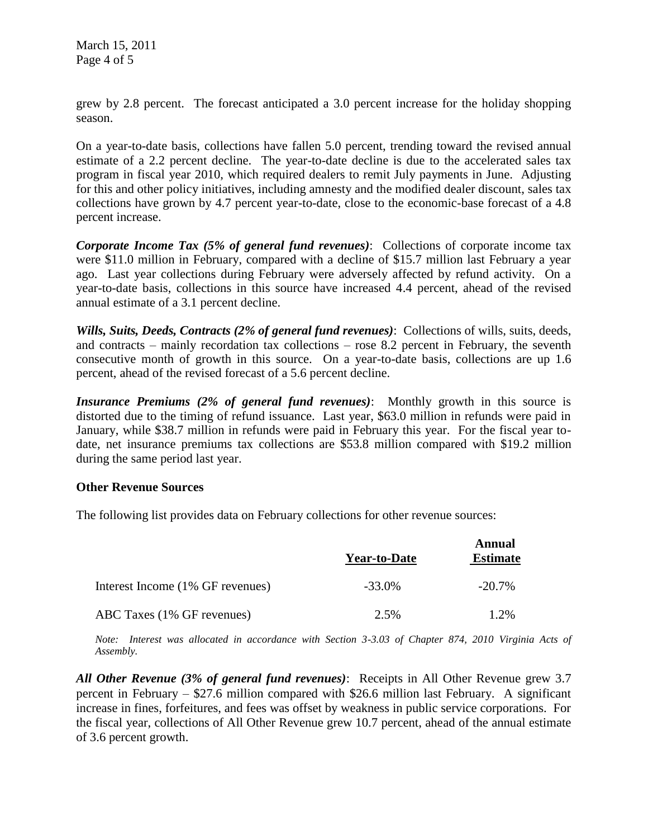grew by 2.8 percent. The forecast anticipated a 3.0 percent increase for the holiday shopping season.

On a year-to-date basis, collections have fallen 5.0 percent, trending toward the revised annual estimate of a 2.2 percent decline. The year-to-date decline is due to the accelerated sales tax program in fiscal year 2010, which required dealers to remit July payments in June. Adjusting for this and other policy initiatives, including amnesty and the modified dealer discount, sales tax collections have grown by 4.7 percent year-to-date, close to the economic-base forecast of a 4.8 percent increase.

*Corporate Income Tax (5% of general fund revenues)*: Collections of corporate income tax were \$11.0 million in February, compared with a decline of \$15.7 million last February a year ago. Last year collections during February were adversely affected by refund activity. On a year-to-date basis, collections in this source have increased 4.4 percent, ahead of the revised annual estimate of a 3.1 percent decline.

*Wills, Suits, Deeds, Contracts (2% of general fund revenues)*: Collections of wills, suits, deeds, and contracts – mainly recordation tax collections – rose 8.2 percent in February, the seventh consecutive month of growth in this source. On a year-to-date basis, collections are up 1.6 percent, ahead of the revised forecast of a 5.6 percent decline.

*Insurance Premiums (2% of general fund revenues)*: Monthly growth in this source is distorted due to the timing of refund issuance. Last year, \$63.0 million in refunds were paid in January, while \$38.7 million in refunds were paid in February this year. For the fiscal year todate, net insurance premiums tax collections are \$53.8 million compared with \$19.2 million during the same period last year.

## **Other Revenue Sources**

The following list provides data on February collections for other revenue sources:

|                                  | <b>Year-to-Date</b> | Annual<br><b>Estimate</b> |
|----------------------------------|---------------------|---------------------------|
| Interest Income (1% GF revenues) | $-33.0\%$           | $-20.7\%$                 |
| ABC Taxes (1% GF revenues)       | 2.5%                | 1.2%                      |

*Note: Interest was allocated in accordance with Section 3-3.03 of Chapter 874, 2010 Virginia Acts of Assembly.*

*All Other Revenue (3% of general fund revenues)*: Receipts in All Other Revenue grew 3.7 percent in February – \$27.6 million compared with \$26.6 million last February. A significant increase in fines, forfeitures, and fees was offset by weakness in public service corporations. For the fiscal year, collections of All Other Revenue grew 10.7 percent, ahead of the annual estimate of 3.6 percent growth.